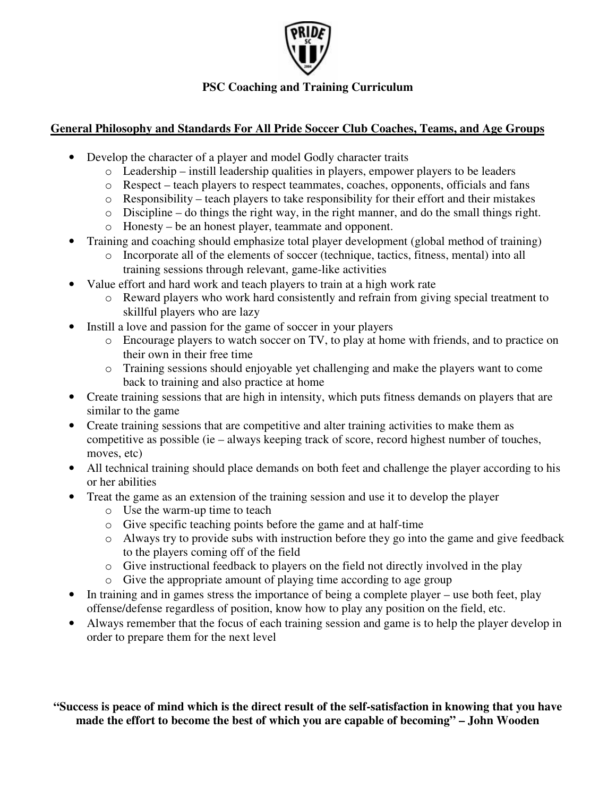

# **PSC Coaching and Training Curriculum**

# **General Philosophy and Standards For All Pride Soccer Club Coaches, Teams, and Age Groups**

- Develop the character of a player and model Godly character traits
	- o Leadership instill leadership qualities in players, empower players to be leaders
	- o Respect teach players to respect teammates, coaches, opponents, officials and fans
	- o Responsibility teach players to take responsibility for their effort and their mistakes
	- o Discipline do things the right way, in the right manner, and do the small things right.
	- o Honesty be an honest player, teammate and opponent.
- Training and coaching should emphasize total player development (global method of training)
	- o Incorporate all of the elements of soccer (technique, tactics, fitness, mental) into all training sessions through relevant, game-like activities
- Value effort and hard work and teach players to train at a high work rate
	- o Reward players who work hard consistently and refrain from giving special treatment to skillful players who are lazy
- Instill a love and passion for the game of soccer in your players
	- o Encourage players to watch soccer on TV, to play at home with friends, and to practice on their own in their free time
	- o Training sessions should enjoyable yet challenging and make the players want to come back to training and also practice at home
- Create training sessions that are high in intensity, which puts fitness demands on players that are similar to the game
- Create training sessions that are competitive and alter training activities to make them as competitive as possible (ie – always keeping track of score, record highest number of touches, moves, etc)
- All technical training should place demands on both feet and challenge the player according to his or her abilities
- Treat the game as an extension of the training session and use it to develop the player
	- o Use the warm-up time to teach
	- o Give specific teaching points before the game and at half-time
	- o Always try to provide subs with instruction before they go into the game and give feedback to the players coming off of the field
	- o Give instructional feedback to players on the field not directly involved in the play
	- o Give the appropriate amount of playing time according to age group
- In training and in games stress the importance of being a complete player use both feet, play offense/defense regardless of position, know how to play any position on the field, etc.
- Always remember that the focus of each training session and game is to help the player develop in order to prepare them for the next level

"Success is peace of mind which is the direct result of the self-satisfaction in knowing that you have **made the effort to become the best of which you are capable of becoming" – John Wooden**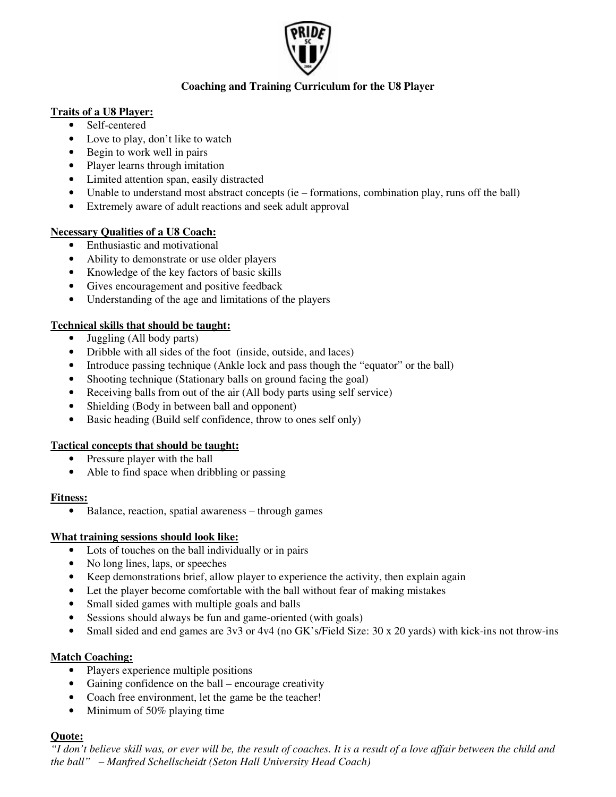

## **Coaching and Training Curriculum for the U8 Player**

### **Traits of a U8 Player:**

- Self-centered
- Love to play, don't like to watch
- Begin to work well in pairs
- Player learns through imitation
- Limited attention span, easily distracted
- Unable to understand most abstract concepts (ie formations, combination play, runs off the ball)
- Extremely aware of adult reactions and seek adult approval

### **Necessary Qualities of a U8 Coach:**

- Enthusiastic and motivational
- Ability to demonstrate or use older players
- Knowledge of the key factors of basic skills
- Gives encouragement and positive feedback
- Understanding of the age and limitations of the players

## **Technical skills that should be taught:**

- Juggling (All body parts)
- Dribble with all sides of the foot (inside, outside, and laces)
- Introduce passing technique (Ankle lock and pass though the "equator" or the ball)
- Shooting technique (Stationary balls on ground facing the goal)
- Receiving balls from out of the air (All body parts using self service)
- Shielding (Body in between ball and opponent)
- Basic heading (Build self confidence, throw to ones self only)

## **Tactical concepts that should be taught:**

- Pressure player with the ball
- Able to find space when dribbling or passing

## **Fitness:**

• Balance, reaction, spatial awareness – through games

## **What training sessions should look like:**

- Lots of touches on the ball individually or in pairs
- No long lines, laps, or speeches
- Keep demonstrations brief, allow player to experience the activity, then explain again
- Let the player become comfortable with the ball without fear of making mistakes
- Small sided games with multiple goals and balls
- Sessions should always be fun and game-oriented (with goals)
- Small sided and end games are 3v3 or 4v4 (no GK's/Field Size: 30 x 20 yards) with kick-ins not throw-ins

## **Match Coaching:**

- Players experience multiple positions
- Gaining confidence on the ball encourage creativity
- Coach free environment, let the game be the teacher!
- Minimum of 50% playing time

## **Quote:**

"I don't believe skill was, or ever will be, the result of coaches. It is a result of a love affair between the child and *the ball" – Manfred Schellscheidt (Seton Hall University Head Coach)*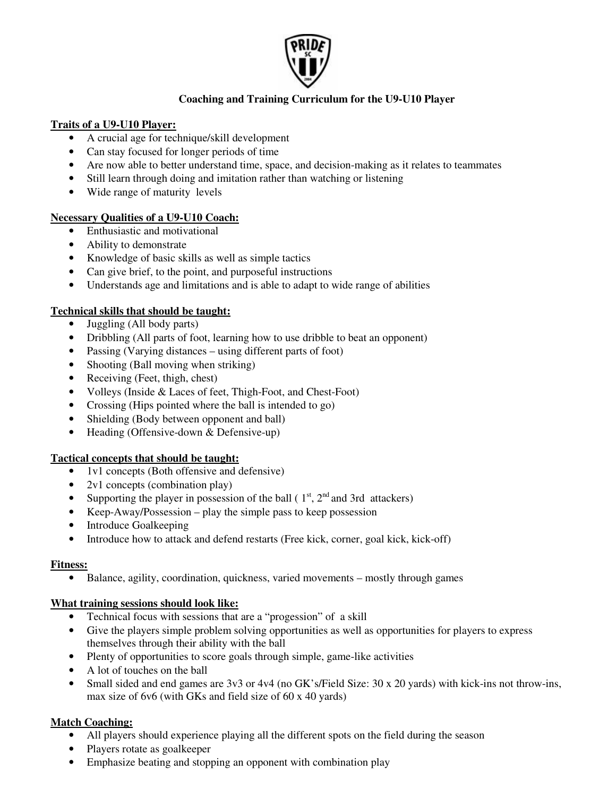

## **Coaching and Training Curriculum for the U9-U10 Player**

## **Traits of a U9-U10 Player:**

- A crucial age for technique/skill development
- Can stay focused for longer periods of time
- Are now able to better understand time, space, and decision-making as it relates to teammates
- Still learn through doing and imitation rather than watching or listening
- Wide range of maturity levels

### **Necessary Qualities of a U9-U10 Coach:**

- Enthusiastic and motivational
- Ability to demonstrate
- Knowledge of basic skills as well as simple tactics
- Can give brief, to the point, and purposeful instructions
- Understands age and limitations and is able to adapt to wide range of abilities

#### **Technical skills that should be taught:**

- Juggling (All body parts)
- Dribbling (All parts of foot, learning how to use dribble to beat an opponent)
- Passing (Varying distances using different parts of foot)
- Shooting (Ball moving when striking)
- Receiving (Feet, thigh, chest)
- Volleys (Inside & Laces of feet, Thigh-Foot, and Chest-Foot)
- Crossing (Hips pointed where the ball is intended to go)
- Shielding (Body between opponent and ball)
- Heading (Offensive-down & Defensive-up)

#### **Tactical concepts that should be taught:**

- 1v1 concepts (Both offensive and defensive)
- 2v1 concepts (combination play)
- Supporting the player in possession of the ball ( $1<sup>st</sup>$ ,  $2<sup>nd</sup>$  and 3rd attackers)
- Keep-Away/Possession play the simple pass to keep possession
- Introduce Goalkeeping
- Introduce how to attack and defend restarts (Free kick, corner, goal kick, kick-off)

#### **Fitness:**

• Balance, agility, coordination, quickness, varied movements – mostly through games

#### **What training sessions should look like:**

- Technical focus with sessions that are a "progession" of a skill
- Give the players simple problem solving opportunities as well as opportunities for players to express themselves through their ability with the ball
- Plenty of opportunities to score goals through simple, game-like activities
- A lot of touches on the ball
- Small sided and end games are 3v3 or 4v4 (no GK's/Field Size: 30 x 20 yards) with kick-ins not throw-ins, max size of 6v6 (with GKs and field size of 60 x 40 yards)

## **Match Coaching:**

- All players should experience playing all the different spots on the field during the season
- Players rotate as goalkeeper
- Emphasize beating and stopping an opponent with combination play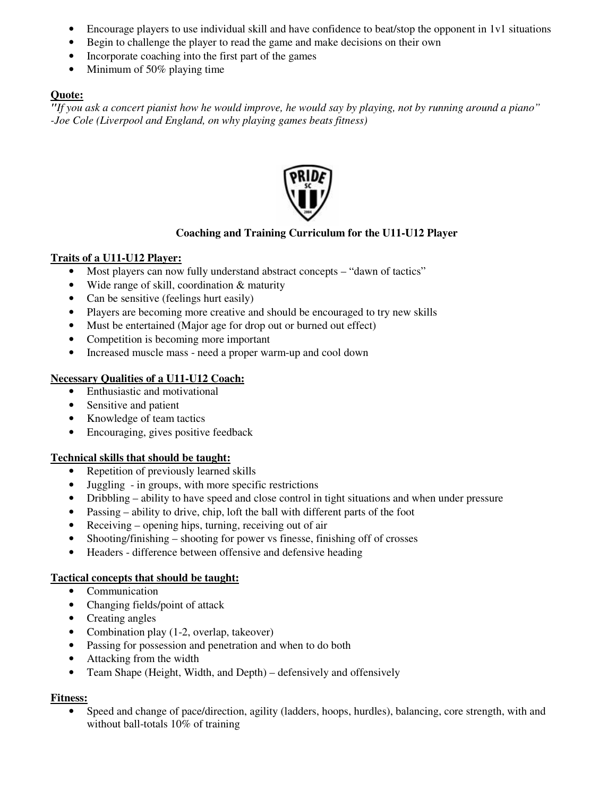- Encourage players to use individual skill and have confidence to beat/stop the opponent in 1v1 situations
- Begin to challenge the player to read the game and make decisions on their own
- Incorporate coaching into the first part of the games
- Minimum of 50% playing time

### **Quote:**

"If you ask a concert pianist how he would improve, he would say by playing, not by running around a piano" *-Joe Cole (Liverpool and England, on why playing games beats fitness)*



## **Coaching and Training Curriculum for the U11-U12 Player**

### **Traits of a U11-U12 Player:**

- Most players can now fully understand abstract concepts "dawn of tactics"
- Wide range of skill, coordination & maturity
- Can be sensitive (feelings hurt easily)
- Players are becoming more creative and should be encouraged to try new skills
- Must be entertained (Major age for drop out or burned out effect)
- Competition is becoming more important
- Increased muscle mass need a proper warm-up and cool down

### **Necessary Qualities of a U11-U12 Coach:**

- Enthusiastic and motivational
- Sensitive and patient
- Knowledge of team tactics
- Encouraging, gives positive feedback

#### **Technical skills that should be taught:**

- Repetition of previously learned skills
- Juggling in groups, with more specific restrictions
- Dribbling ability to have speed and close control in tight situations and when under pressure
- Passing ability to drive, chip, loft the ball with different parts of the foot
- Receiving opening hips, turning, receiving out of air
- Shooting/finishing shooting for power vs finesse, finishing off of crosses
- Headers difference between offensive and defensive heading

## **Tactical concepts that should be taught:**

- Communication
- Changing fields/point of attack
- Creating angles
- Combination play (1-2, overlap, takeover)
- Passing for possession and penetration and when to do both
- Attacking from the width
- Team Shape (Height, Width, and Depth) defensively and offensively

#### **Fitness:**

• Speed and change of pace/direction, agility (ladders, hoops, hurdles), balancing, core strength, with and without ball-totals 10% of training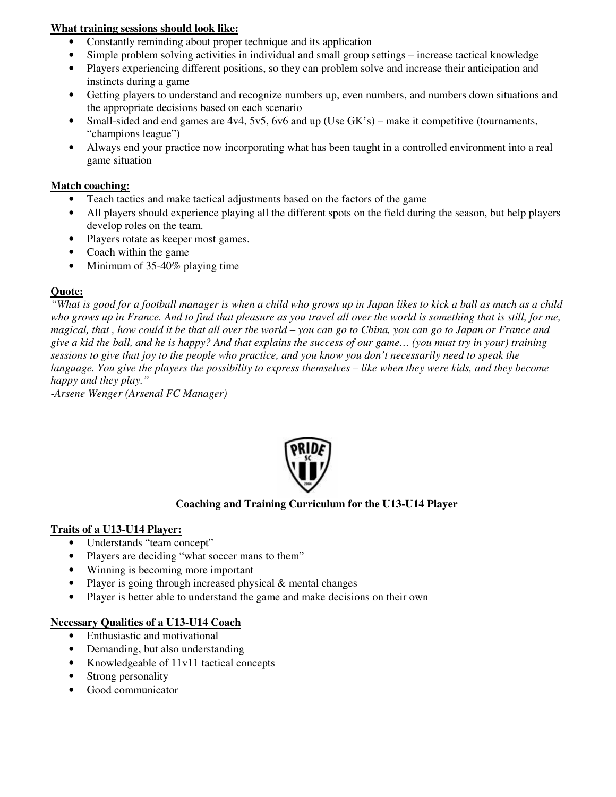## **What training sessions should look like:**

- Constantly reminding about proper technique and its application
- Simple problem solving activities in individual and small group settings increase tactical knowledge
- Players experiencing different positions, so they can problem solve and increase their anticipation and instincts during a game
- Getting players to understand and recognize numbers up, even numbers, and numbers down situations and the appropriate decisions based on each scenario
- Small-sided and end games are 4v4, 5v5, 6v6 and up (Use GK's) make it competitive (tournaments, "champions league")
- Always end your practice now incorporating what has been taught in a controlled environment into a real game situation

## **Match coaching:**

- Teach tactics and make tactical adjustments based on the factors of the game
- All players should experience playing all the different spots on the field during the season, but help players develop roles on the team.
- Players rotate as keeper most games.
- Coach within the game
- Minimum of 35-40% playing time

## **Quote:**

"What is good for a football manager is when a child who grows up in Japan likes to kick a ball as much as a child who grows up in France. And to find that pleasure as you travel all over the world is something that is still, for me, magical, that, how could it be that all over the world – you can go to China, you can go to Japan or France and give a kid the ball, and he is happy? And that explains the success of our game... (you must try in your) training sessions to give that joy to the people who practice, and you know you don't necessarily need to speak the language. You give the players the possibility to express themselves  $-$  like when they were kids, and they become *happy and they play."*

*-Arsene Wenger (Arsenal FC Manager)*



## **Coaching and Training Curriculum for the U13-U14 Player**

## **Traits of a U13-U14 Player:**

- Understands "team concept"
- Players are deciding "what soccer mans to them"
- Winning is becoming more important
- Player is going through increased physical & mental changes
- Player is better able to understand the game and make decisions on their own

#### **Necessary Qualities of a U13-U14 Coach**

- Enthusiastic and motivational
- Demanding, but also understanding
- Knowledgeable of 11v11 tactical concepts
- Strong personality
- Good communicator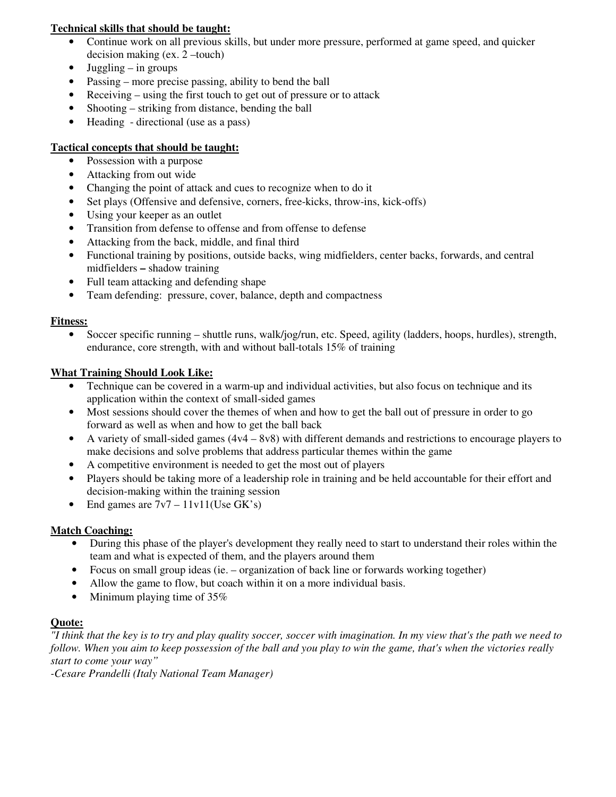## **Technical skills that should be taught:**

- Continue work on all previous skills, but under more pressure, performed at game speed, and quicker decision making (ex. 2 –touch)
- Juggling  $-$  in groups
- Passing more precise passing, ability to bend the ball
- Receiving using the first touch to get out of pressure or to attack
- Shooting striking from distance, bending the ball
- Heading directional (use as a pass)

## **Tactical concepts that should be taught:**

- Possession with a purpose
- Attacking from out wide
- Changing the point of attack and cues to recognize when to do it
- Set plays (Offensive and defensive, corners, free-kicks, throw-ins, kick-offs)
- Using your keeper as an outlet
- Transition from defense to offense and from offense to defense
- Attacking from the back, middle, and final third
- Functional training by positions, outside backs, wing midfielders, center backs, forwards, and central midfielders **–** shadow training
- Full team attacking and defending shape
- Team defending: pressure, cover, balance, depth and compactness

# **Fitness:**

• Soccer specific running – shuttle runs, walk/jog/run, etc. Speed, agility (ladders, hoops, hurdles), strength, endurance, core strength, with and without ball-totals 15% of training

# **What Training Should Look Like:**

- Technique can be covered in a warm-up and individual activities, but also focus on technique and its application within the context of small-sided games
- Most sessions should cover the themes of when and how to get the ball out of pressure in order to go forward as well as when and how to get the ball back
- A variety of small-sided games (4v4 8v8) with different demands and restrictions to encourage players to make decisions and solve problems that address particular themes within the game
- A competitive environment is needed to get the most out of players
- Players should be taking more of a leadership role in training and be held accountable for their effort and decision-making within the training session
- End games are  $7v7 11v11$  (Use GK's)

# **Match Coaching:**

- During this phase of the player's development they really need to start to understand their roles within the team and what is expected of them, and the players around them
- Focus on small group ideas (ie. organization of back line or forwards working together)
- Allow the game to flow, but coach within it on a more individual basis.
- Minimum playing time of 35%

# **Quote:**

"I think that the key is to try and play quality soccer, soccer with imagination. In my view that's the path we need to follow. When you aim to keep possession of the ball and you play to win the game, that's when the victories really *start to come your way"*

*-Cesare Prandelli (Italy National Team Manager)*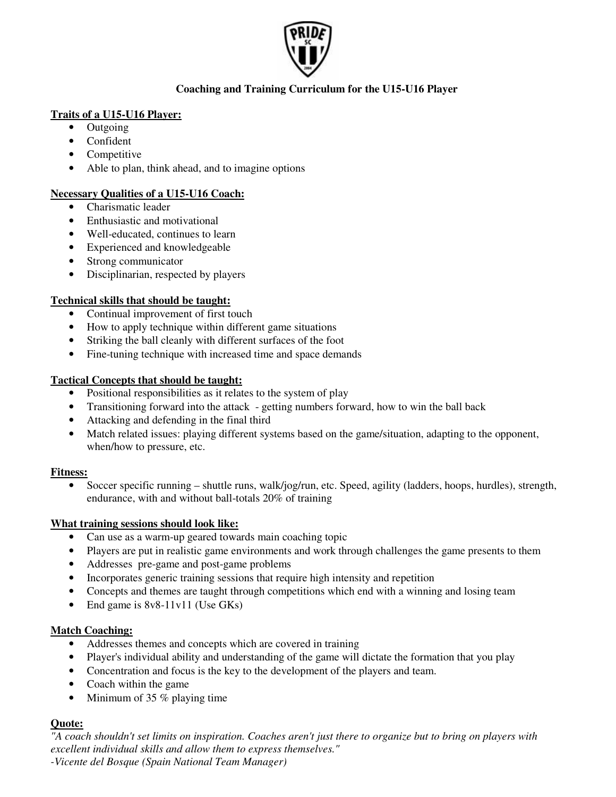

## **Coaching and Training Curriculum for the U15-U16 Player**

## **Traits of a U15-U16 Player:**

- Outgoing
- Confident
- Competitive
- Able to plan, think ahead, and to imagine options

## **Necessary Qualities of a U15-U16 Coach:**

- Charismatic leader
- Enthusiastic and motivational
- Well-educated, continues to learn
- Experienced and knowledgeable
- Strong communicator
- Disciplinarian, respected by players

## **Technical skills that should be taught:**

- Continual improvement of first touch
- How to apply technique within different game situations
- Striking the ball cleanly with different surfaces of the foot
- Fine-tuning technique with increased time and space demands

## **Tactical Concepts that should be taught:**

- Positional responsibilities as it relates to the system of play
- Transitioning forward into the attack getting numbers forward, how to win the ball back
- Attacking and defending in the final third
- Match related issues: playing different systems based on the game/situation, adapting to the opponent, when/how to pressure, etc.

## **Fitness:**

• Soccer specific running – shuttle runs, walk/jog/run, etc. Speed, agility (ladders, hoops, hurdles), strength, endurance, with and without ball-totals 20% of training

## **What training sessions should look like:**

- Can use as a warm-up geared towards main coaching topic
- Players are put in realistic game environments and work through challenges the game presents to them
- Addresses pre-game and post-game problems
- Incorporates generic training sessions that require high intensity and repetition
- Concepts and themes are taught through competitions which end with a winning and losing team
- End game is 8v8-11v11 (Use GKs)

## **Match Coaching:**

- Addresses themes and concepts which are covered in training
- Player's individual ability and understanding of the game will dictate the formation that you play
- Concentration and focus is the key to the development of the players and team.
- Coach within the game
- Minimum of 35 % playing time

## **Quote:**

"A coach shouldn't set limits on inspiration. Coaches aren't just there to organize but to bring on players with *excellent individual skills and allow them to express themselves."*

*-Vicente del Bosque (Spain National Team Manager)*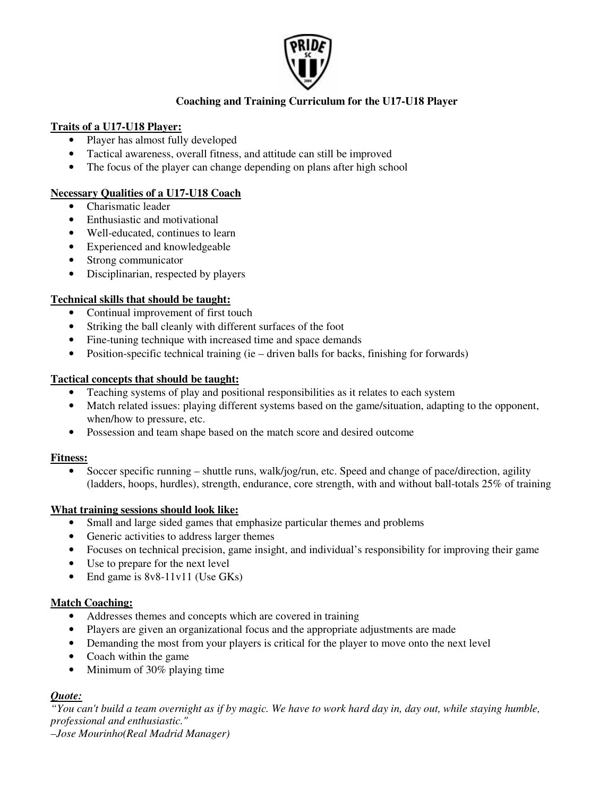

## **Coaching and Training Curriculum for the U17-U18 Player**

## **Traits of a U17-U18 Player:**

- Player has almost fully developed
- Tactical awareness, overall fitness, and attitude can still be improved
- The focus of the player can change depending on plans after high school

## **Necessary Qualities of a U17-U18 Coach**

- Charismatic leader
- Enthusiastic and motivational
- Well-educated, continues to learn
- Experienced and knowledgeable
- Strong communicator
- Disciplinarian, respected by players

## **Technical skills that should be taught:**

- Continual improvement of first touch
- Striking the ball cleanly with different surfaces of the foot
- Fine-tuning technique with increased time and space demands
- Position-specific technical training (ie driven balls for backs, finishing for forwards)

## **Tactical concepts that should be taught:**

- Teaching systems of play and positional responsibilities as it relates to each system
- Match related issues: playing different systems based on the game/situation, adapting to the opponent, when/how to pressure, etc.
- Possession and team shape based on the match score and desired outcome

## **Fitness:**

• Soccer specific running – shuttle runs, walk/jog/run, etc. Speed and change of pace/direction, agility (ladders, hoops, hurdles), strength, endurance, core strength, with and without ball-totals 25% of training

## **What training sessions should look like:**

- Small and large sided games that emphasize particular themes and problems
- Generic activities to address larger themes
- Focuses on technical precision, game insight, and individual's responsibility for improving their game
- Use to prepare for the next level
- End game is 8v8-11v11 (Use GKs)

## **Match Coaching:**

- Addresses themes and concepts which are covered in training
- Players are given an organizational focus and the appropriate adjustments are made
- Demanding the most from your players is critical for the player to move onto the next level
- Coach within the game
- Minimum of 30% playing time

## *Quote:*

"You can't build a team overnight as if by magic. We have to work hard day in, day out, while staying humble, *professional and enthusiastic."*

*–Jose Mourinho(Real Madrid Manager)*